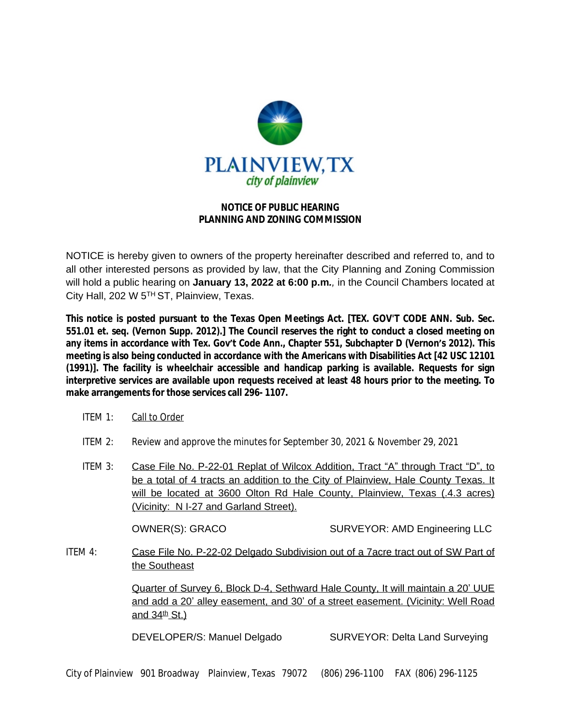

## **NOTICE OF PUBLIC HEARING PLANNING AND ZONING COMMISSION**

NOTICE is hereby given to owners of the property hereinafter described and referred to, and to all other interested persons as provided by law, that the City Planning and Zoning Commission will hold a public hearing on **January 13, 2022 at 6:00 p.m***.,* in the Council Chambers located at City Hall, 202 W 5TH ST, Plainview, Texas.

**This notice is posted pursuant to the Texas Open Meetings Act. [TEX. GOV'T CODE ANN. Sub. Sec. 551.01 et. seq. (Vernon Supp. 2012).] The Council reserves the right to conduct a closed meeting on** any items in accordance with Tex. Gov't Code Ann., Chapter 551, Subchapter D (Vernon's 2012). This **meeting is also being conducted in accordance with the Americans with Disabilities Act [42 USC 12101 (1991)]. The facility is wheelchair accessible and handicap parking is available. Requests for sign interpretive services are available upon requests received at least 48 hours prior to the meeting. To make arrangements for those services call 296- 1107.**

- ITEM 1: Call to Order
- ITEM 2: Review and approve the minutes for September 30, 2021 & November 29, 2021
- ITEM 3: Case File No. P-22-01 Replat of Wilcox Addition, Tract "A" through Tract "D", to be a total of 4 tracts an addition to the City of Plainview, Hale County Texas. It will be located at 3600 Olton Rd Hale County, Plainview, Texas (.4.3 acres) (Vicinity: N I-27 and Garland Street).

OWNER(S): GRACO SURVEYOR: AMD Engineering LLC

ITEM 4: Case File No. P-22-02 Delgado Subdivision out of a 7acre tract out of SW Part of the Southeast

> Quarter of Survey 6, Block D-4, Sethward Hale County, It will maintain a 20' UUE and add a 20' alley easement, and 30' of a street easement. (Vicinity: Well Road and  $34<sup>th</sup>$  St.)

DEVELOPER/S: Manuel Delgado SURVEYOR: Delta Land Surveying